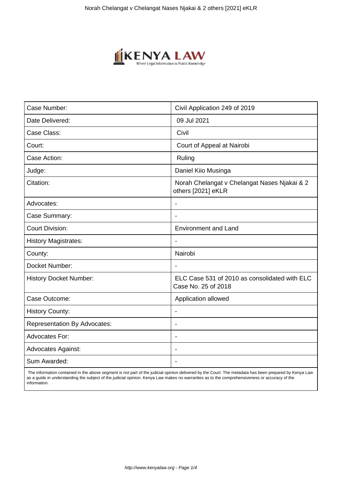

| Case Number:                        | Civil Application 249 of 2019                                        |
|-------------------------------------|----------------------------------------------------------------------|
| Date Delivered:                     | 09 Jul 2021                                                          |
| Case Class:                         | Civil                                                                |
| Court:                              | Court of Appeal at Nairobi                                           |
| Case Action:                        | Ruling                                                               |
| Judge:                              | Daniel Kiio Musinga                                                  |
| Citation:                           | Norah Chelangat v Chelangat Nases Njakai & 2<br>others [2021] eKLR   |
| Advocates:                          | $\overline{\phantom{a}}$                                             |
| Case Summary:                       | ÷                                                                    |
| <b>Court Division:</b>              | <b>Environment and Land</b>                                          |
| <b>History Magistrates:</b>         |                                                                      |
| County:                             | Nairobi                                                              |
| Docket Number:                      | $\overline{\phantom{a}}$                                             |
| <b>History Docket Number:</b>       | ELC Case 531 of 2010 as consolidated with ELC<br>Case No. 25 of 2018 |
| Case Outcome:                       | Application allowed                                                  |
| <b>History County:</b>              | $\overline{\phantom{a}}$                                             |
| <b>Representation By Advocates:</b> | $\blacksquare$                                                       |
| Advocates For:                      | ÷                                                                    |
| <b>Advocates Against:</b>           |                                                                      |
| Sum Awarded:                        |                                                                      |

 The information contained in the above segment is not part of the judicial opinion delivered by the Court. The metadata has been prepared by Kenya Law as a guide in understanding the subject of the judicial opinion. Kenya Law makes no warranties as to the comprehensiveness or accuracy of the information.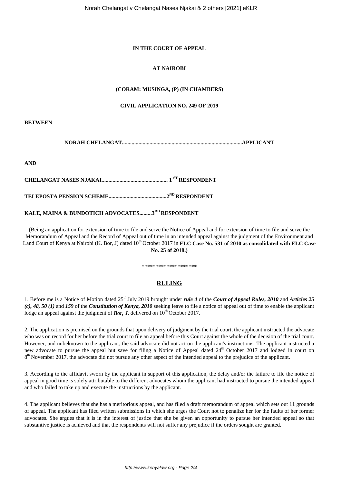## **IN THE COURT OF APPEAL**

# **AT NAIROBI**

## **(CORAM: MUSINGA, (P) (IN CHAMBERS)**

#### **CIVIL APPLICATION NO. 249 OF 2019**

**BETWEEN**

**NORAH CHELANGAT.......................................................................................APPLICANT**

**AND**

**CHELANGAT NASES NJAKAI................................................ 1 ST RESPONDENT**

**TELEPOSTA PENSION SCHEME..........................................2ND RESPONDENT** 

# **KALE, MAINA & BUNDOTICH ADVOCATES.........3RD RESPONDENT**

(Being an application for extension of time to file and serve the Notice of Appeal and for extension of time to file and serve the Memorandum of Appeal and the Record of Appeal out of time in an intended appeal against the judgment of the Environment and Land Court of Kenya at Nairobi (K. Bor, J) dated 10<sup>th</sup> October 2017 in **ELC Case No. 531 of 2010 as consolidated with ELC Case No. 25 of 2018.)**

# \*\*\*\*\*\*\*\*\*\*\*\*\*\*\*\*\*\*\*\*

# **RULING**

1. Before me is a Notice of Motion dated 25<sup>th</sup> July 2019 brought under *rule 4* of the *Court of Appeal Rules, 2010* and *Articles 25 (c), 48, 50 (1)* and *159* of the *Constitution of Kenya, 2010* seeking leave to file a notice of appeal out of time to enable the applicant lodge an appeal against the judgment of *Bor, J.* delivered on  $10^{th}$  October 2017.

2. The application is premised on the grounds that upon delivery of judgment by the trial court, the applicant instructed the advocate who was on record for her before the trial court to file an appeal before this Court against the whole of the decision of the trial court. However, and unbeknown to the applicant, the said advocate did not act on the applicant's instructions. The applicant instructed a new advocate to pursue the appeal but save for filing a Notice of Appeal dated 24<sup>th</sup> October 2017 and lodged in court on 8<sup>th</sup> November 2017, the advocate did not pursue any other aspect of the intended appeal to the prejudice of the applicant.

3. According to the affidavit sworn by the applicant in support of this application, the delay and/or the failure to file the notice of appeal in good time is solely attributable to the different advocates whom the applicant had instructed to pursue the intended appeal and who failed to take up and execute the instructions by the applicant.

4. The applicant believes that she has a meritorious appeal, and has filed a draft memorandum of appeal which sets out 11 grounds of appeal. The applicant has filed written submissions in which she urges the Court not to penalize her for the faults of her former advocates. She argues that it is in the interest of justice that she be given an opportunity to pursue her intended appeal so that substantive justice is achieved and that the respondents will not suffer any prejudice if the orders sought are granted.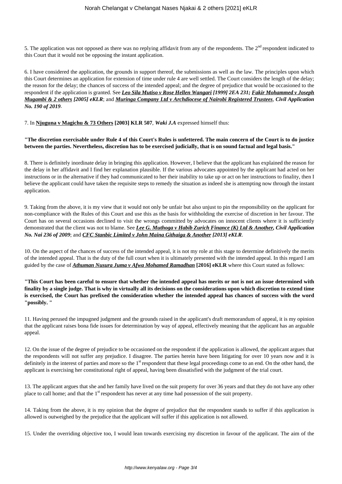5. The application was not opposed as there was no replying affidavit from any of the respondents. The  $2<sup>nd</sup>$  respondent indicated to this Court that it would not be opposing the instant application.

6. I have considered the application, the grounds in support thereof, the submissions as well as the law. The principles upon which this Court determines an application for extension of time under rule 4 are well settled. The Court considers the length of the delay; the reason for the delay; the chances of success of the intended appeal; and the degree of prejudice that would be occasioned to the respondent if the application is granted. See *Leo Sila Mutiso v Rose Hellen Wangari [1999] 2EA 231; Fakir Mohammed v Joseph Mugambi & 2 others [2005] eKLR*; and *Muringa Company Ltd v Archdiocese of Nairobi Registered Trustees, Civil Application No. 190 of 2019*.

#### 7. In **Njuguna v Magichu & 73 Others [2003] KLR 507**, *Waki J.A* expressed himself thus:

## **"The discretion exercisable under Rule 4 of this Court's Rules is unfettered. The main concern of the Court is to do justice between the parties. Nevertheless, discretion has to be exercised judicially, that is on sound factual and legal basis."**

8. There is definitely inordinate delay in bringing this application. However, I believe that the applicant has explained the reason for the delay in her affidavit and I find her explanation plausible. If the various advocates appointed by the applicant had acted on her instructions or in the alternative if they had communicated to her their inability to take up or act on her instructions to finality, then I believe the applicant could have taken the requisite steps to remedy the situation as indeed she is attempting now through the instant application.

9. Taking from the above, it is my view that it would not only be unfair but also unjust to pin the responsibility on the applicant for non-compliance with the Rules of this Court and use this as the basis for withholding the exercise of discretion in her favour. The Court has on several occasions declined to visit the wrongs committed by advocates on innocent clients where it is sufficiently demonstrated that the client was not to blame. See *Lee G. Muthoga v Habib Zurich Finance (K) Ltd & Another, Civil Application No. Nai 236 of 2009*; and *CFC Stanbic Limited v John Maina Githaiga & Another [2013] eKLR*.

10. On the aspect of the chances of success of the intended appeal, it is not my role at this stage to determine definitively the merits of the intended appeal. That is the duty of the full court when it is ultimately presented with the intended appeal. In this regard I am guided by the case of *Athuman Nusura Juma v Afwa Mohamed Ramadhan* **[2016] eKLR** where this Court stated as follows:

**"This Court has been careful to ensure that whether the intended appeal has merits or not is not an issue determined with finality by a single judge. That is why in virtually all its decisions on the considerations upon which discretion to extend time is exercised, the Court has prefixed the consideration whether the intended appeal has chances of success with the word "possibly. "**

11. Having perused the impugned judgment and the grounds raised in the applicant's draft memorandum of appeal, it is my opinion that the applicant raises bona fide issues for determination by way of appeal, effectively meaning that the applicant has an arguable appeal.

12. On the issue of the degree of prejudice to be occasioned on the respondent if the application is allowed, the applicant argues that the respondents will not suffer any prejudice. I disagree. The parties herein have been litigating for over 10 years now and it is definitely in the interest of parties and more so the 1<sup>st</sup> respondent that these legal proceedings come to an end. On the other hand, the applicant is exercising her constitutional right of appeal, having been dissatisfied with the judgment of the trial court.

13. The applicant argues that she and her family have lived on the suit property for over 36 years and that they do not have any other place to call home; and that the 1<sup>st</sup> respondent has never at any time had possession of the suit property.

14. Taking from the above, it is my opinion that the degree of prejudice that the respondent stands to suffer if this application is allowed is outweighed by the prejudice that the applicant will suffer if this application is not allowed.

15. Under the overriding objective too, I would lean towards exercising my discretion in favour of the applicant. The aim of the